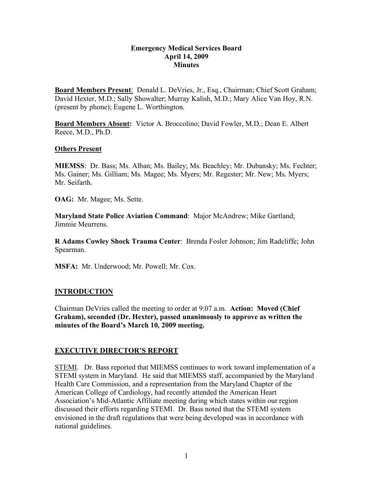#### **Emergency Medical Services Board April 14, 2009 Minutes**

**Board Members Present**: Donald L. DeVries, Jr., Esq., Chairman; Chief Scott Graham; David Hexter, M.D.; Sally Showalter; Murray Kalish, M.D.; Mary Alice Van Hoy, R.N. (present by phone); Eugene L. Worthington.

**Board Members Absent:** Victor A. Broccolino; David Fowler, M.D.; Dean E. Albert Reece, M.D., Ph.D.

#### **Others Present**

**MIEMSS**: Dr. Bass; Ms. Alban; Ms. Bailey; Ms. Beachley; Mr. Dubansky; Ms. Fechter; Ms. Gainer; Ms. Gilliam; Ms. Magee; Ms. Myers; Mr. Regester; Mr. New; Ms. Myers; Mr. Seifarth.

**OAG:** Mr. Magee; Ms. Sette.

**Maryland State Police Aviation Command**: Major McAndrew; Mike Gartland; Jimmie Meurrens.

**R Adams Cowley Shock Trauma Center**: Brenda Fosler Johnson; Jim Radcliffe; John Spearman.

**MSFA:** Mr. Underwood; Mr. Powell; Mr. Cox.

### **INTRODUCTION**

Chairman DeVries called the meeting to order at 9:07 a.m. **Action: Moved (Chief Graham), seconded (Dr. Hexter), passed unanimously to approve as written the minutes of the Board's March 10, 2009 meeting.**

### **EXECUTIVE DIRECTOR'S REPORT**

STEMI. Dr. Bass reported that MIEMSS continues to work toward implementation of a STEMI system in Maryland. He said that MIEMSS staff, accompanied by the Maryland Health Care Commission, and a representation from the Maryland Chapter of the American College of Cardiology, had recently attended the American Heart Association's Mid-Atlantic Affiliate meeting during which states within our region discussed their efforts regarding STEMI. Dr. Bass noted that the STEMI system envisioned in the draft regulations that were being developed was in accordance with national guidelines.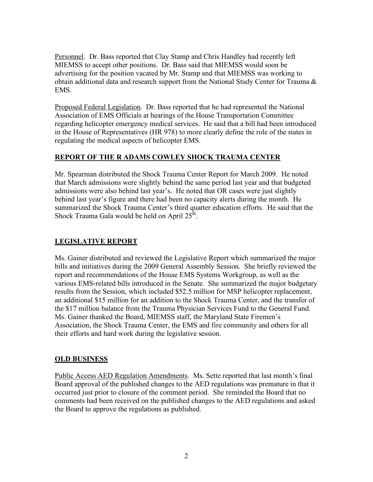Personnel. Dr. Bass reported that Clay Stamp and Chris Handley had recently left MIEMSS to accept other positions. Dr. Bass said that MIEMSS would soon be advertising for the position vacated by Mr. Stamp and that MIEMSS was working to obtain additional data and research support from the National Study Center for Trauma  $\&$ EMS.

Proposed Federal Legislation. Dr. Bass reported that he had represented the National Association of EMS Officials at hearings of the House Transportation Committee regarding helicopter emergency medical services. He said that a bill had been introduced in the House of Representatives (HR 978) to more clearly define the role of the states in regulating the medical aspects of helicopter EMS.

# **REPORT OF THE R ADAMS COWLEY SHOCK TRAUMA CENTER**

Mr. Spearman distributed the Shock Trauma Center Report for March 2009. He noted that March admissions were slightly behind the same period last year and that budgeted admissions were also behind last year's. He noted that OR cases were just slightly behind last year's figure and there had been no capacity alerts during the month. He summarized the Shock Trauma Center's third quarter education efforts. He said that the Shock Trauma Gala would be held on April  $25^{\text{th}}$ .

# **LEGISLATIVE REPORT**

Ms. Gainer distributed and reviewed the Legislative Report which summarized the major bills and initiatives during the 2009 General Assembly Session. She briefly reviewed the report and recommendations of the House EMS Systems Workgroup, as well as the various EMS-related bills introduced in the Senate. She summarized the major budgetary results from the Session, which included \$52.5 million for MSP helicopter replacement, an additional \$15 million for an addition to the Shock Trauma Center, and the transfer of the \$17 million balance from the Trauma Physician Services Fund to the General Fund. Ms. Gainer thanked the Board, MIEMSS staff, the Maryland State Firemen's Association, the Shock Trauma Center, the EMS and fire community and others for all their efforts and hard work during the legislative session.

### **OLD BUSINESS**

Public Access AED Regulation Amendments. Ms. Sette reported that last month's final Board approval of the published changes to the AED regulations was premature in that it occurred just prior to closure of the comment period. She reminded the Board that no comments had been received on the published changes to the AED regulations and asked the Board to approve the regulations as published.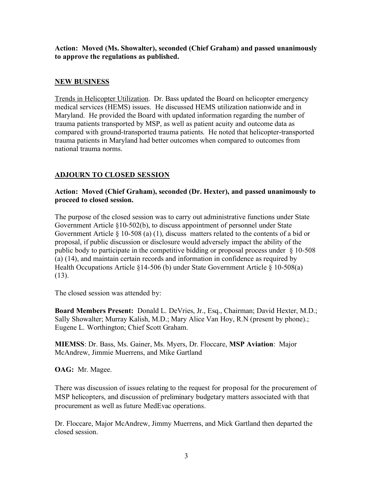**Action: Moved (Ms. Showalter), seconded (Chief Graham) and passed unanimously to approve the regulations as published.**

### **NEW BUSINESS**

Trends in Helicopter Utilization. Dr. Bass updated the Board on helicopter emergency medical services (HEMS) issues. He discussed HEMS utilization nationwide and in Maryland. He provided the Board with updated information regarding the number of trauma patients transported by MSP, as well as patient acuity and outcome data as compared with ground-transported trauma patients. He noted that helicopter-transported trauma patients in Maryland had better outcomes when compared to outcomes from national trauma norms.

# **ADJOURN TO CLOSED SESSION**

#### **Action: Moved (Chief Graham), seconded (Dr. Hexter), and passed unanimously to proceed to closed session.**

The purpose of the closed session was to carry out administrative functions under State Government Article §10-502(b), to discuss appointment of personnel under State Government Article § 10-508 (a) (1), discuss matters related to the contents of a bid or proposal, if public discussion or disclosure would adversely impact the ability of the public body to participate in the competitive bidding or proposal process under § 10-508 (a) (14), and maintain certain records and information in confidence as required by Health Occupations Article §14-506 (b) under State Government Article § 10-508(a) (13).

The closed session was attended by:

**Board Members Present:** Donald L. DeVries, Jr., Esq., Chairman; David Hexter, M.D.; Sally Showalter; Murray Kalish, M.D.; Mary Alice Van Hoy, R.N (present by phone).; Eugene L. Worthington; Chief Scott Graham.

**MIEMSS**: Dr. Bass, Ms. Gainer, Ms. Myers, Dr. Floccare, **MSP Aviation**: Major McAndrew, Jimmie Muerrens, and Mike Gartland

**OAG:** Mr. Magee.

There was discussion of issues relating to the request for proposal for the procurement of MSP helicopters, and discussion of preliminary budgetary matters associated with that procurement as well as future MedEvac operations.

Dr. Floccare, Major McAndrew, Jimmy Muerrens, and Mick Gartland then departed the closed session.